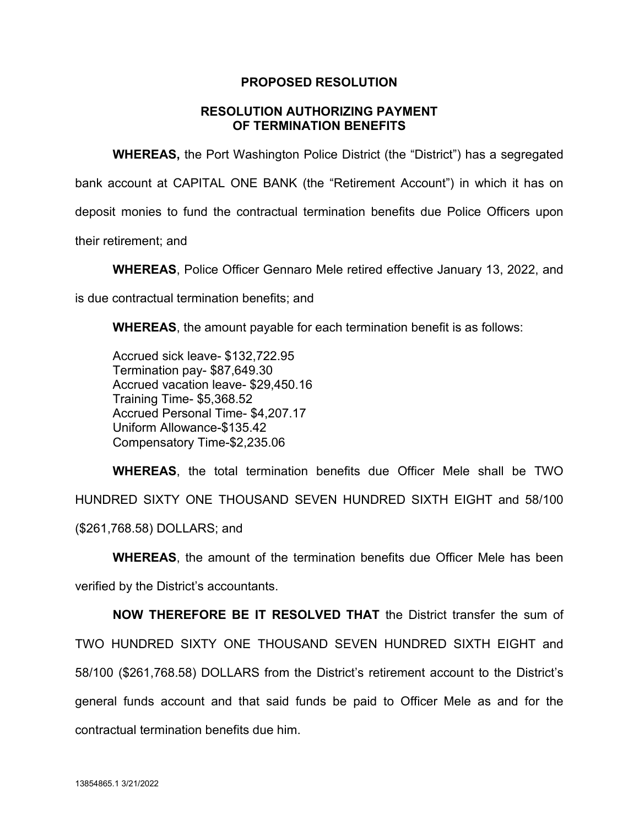## **PROPOSED RESOLUTION**

## **RESOLUTION AUTHORIZING PAYMENT OF TERMINATION BENEFITS**

**WHEREAS,** the Port Washington Police District (the "District") has a segregated bank account at CAPITAL ONE BANK (the "Retirement Account") in which it has on deposit monies to fund the contractual termination benefits due Police Officers upon their retirement; and

**WHEREAS**, Police Officer Gennaro Mele retired effective January 13, 2022, and

is due contractual termination benefits; and

**WHEREAS**, the amount payable for each termination benefit is as follows:

Accrued sick leave- \$132,722.95 Termination pay- \$87,649.30 Accrued vacation leave- \$29,450.16 Training Time- \$5,368.52 Accrued Personal Time- \$4,207.17 Uniform Allowance-\$135.42 Compensatory Time-\$2,235.06

**WHEREAS**, the total termination benefits due Officer Mele shall be TWO HUNDRED SIXTY ONE THOUSAND SEVEN HUNDRED SIXTH EIGHT and 58/100 (\$261,768.58) DOLLARS; and

**WHEREAS**, the amount of the termination benefits due Officer Mele has been verified by the District's accountants.

**NOW THEREFORE BE IT RESOLVED THAT** the District transfer the sum of TWO HUNDRED SIXTY ONE THOUSAND SEVEN HUNDRED SIXTH EIGHT and 58/100 (\$261,768.58) DOLLARS from the District's retirement account to the District's general funds account and that said funds be paid to Officer Mele as and for the contractual termination benefits due him.